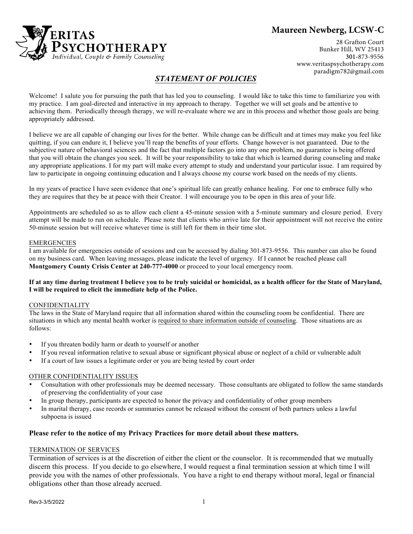

# **Maureen Newberg, LCSW-C**

28 Grafton Court Bunker Hill, WV 25413 301- 873-9556 www.veritaspsychotherapy.com paradigm782@gmail.com

## *STATEMENT OF POLICIES*

Welcome! I salute you for pursuing the path that has led you to counseling. I would like to take this time to familiarize you with my practice. I am goal-directed and interactive in my approach to therapy. Together we will set goals and be attentive to achieving them. Periodically through therapy, we will re-evaluate where we are in this process and whether those goals are being appropriately addressed.

I believe we are all capable of changing our lives for the better. While change can be difficult and at times may make you feel like quitting, if you can endure it, I believe you'll reap the benefits of your efforts. Change however is not guaranteed. Due to the subjective nature of behavioral sciences and the fact that multiple factors go into any one problem, no guarantee is being offered that you will obtain the changes you seek. It will be your responsibility to take that which is learned during counseling and make any appropriate applications. I for my part will make every attempt to study and understand your particular issue. I am required by law to participate in ongoing continuing education and I always choose my course work based on the needs of my clients.

In my years of practice I have seen evidence that one's spiritual life can greatly enhance healing. For one to embrace fully who they are requires that they be at peace with their Creator. I will encourage you to be open in this area of your life.

Appointments are scheduled so as to allow each client a 45-minute session with a 5-minute summary and closure period. Every attempt will be made to run on schedule. Please note that clients who arrive late for their appointment will not receive the entire 50-minute session but will receive whatever time is still left for them in their time slot.

#### EMERGENCIES

I am available for emergencies outside of sessions and can be accessed by dialing 301-873-9556. This number can also be found on my business card. When leaving messages, please indicate the level of urgency. If I cannot be reached please call **Montgomery County Crisis Center at 240-777-4000** or proceed to your local emergency room.

#### If at any time during treatment I believe you to be truly suicidal or homicidal, as a health officer for the State of Maryland, **I will be required to elicit the immediate help of the Police.**

#### CONFIDENTIALITY

The laws in the State of Maryland require that all information shared within the counseling room be confidential. There are situations in which any mental health worker is required to share information outside of counseling. Those situations are as follows:

- If you threaten bodily harm or death to yourself or another
- If you reveal information relative to sexual abuse or significant physical abuse or neglect of a child or vulnerable adult
- If a court of law issues a legitimate order or you are being tested by court order

#### OTHER CONFIDENTIALITY ISSUES

- Consultation with other professionals may be deemed necessary. Those consultants are obligated to follow the same standards of preserving the confidentiality of your case
- In group therapy, participants are expected to honor the privacy and confidentiality of other group members
- In marital therapy, case records or summaries cannot be released without the consent of both partners unless a lawful subpoena is issued

#### **Please refer to the notice of my Privacy Practices for more detail about these matters.**

### TERMINATION OF SERVICES

Termination of services is at the discretion of either the client or the counselor. It is recommended that we mutually discern this process. If you decide to go elsewhere, I would request a final termination session at which time I will provide you with the names of other professionals. You have a right to end therapy without moral, legal or financial obligations other than those already accrued.